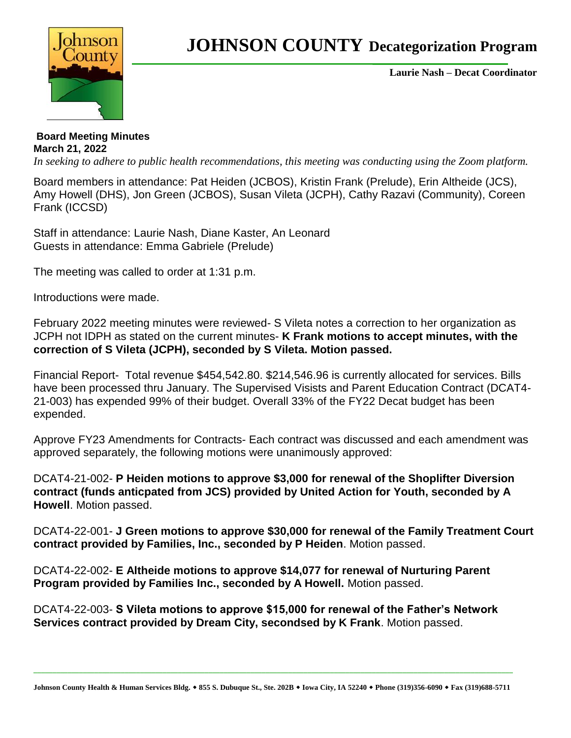

## **JOHNSON COUNTY Decategorization Program**

**Laurie Nash – Decat Coordinator**

**Board Meeting Minutes March 21, 2022**

*In seeking to adhere to public health recommendations, this meeting was conducting using the Zoom platform.* 

Board members in attendance: Pat Heiden (JCBOS), Kristin Frank (Prelude), Erin Altheide (JCS), Amy Howell (DHS), Jon Green (JCBOS), Susan Vileta (JCPH), Cathy Razavi (Community), Coreen Frank (ICCSD)

Staff in attendance: Laurie Nash, Diane Kaster, An Leonard Guests in attendance: Emma Gabriele (Prelude)

The meeting was called to order at 1:31 p.m.

Introductions were made.

February 2022 meeting minutes were reviewed- S Vileta notes a correction to her organization as JCPH not IDPH as stated on the current minutes- **K Frank motions to accept minutes, with the correction of S Vileta (JCPH), seconded by S Vileta. Motion passed.**

Financial Report- Total revenue \$454,542.80. \$214,546.96 is currently allocated for services. Bills have been processed thru January. The Supervised Visists and Parent Education Contract (DCAT4- 21-003) has expended 99% of their budget. Overall 33% of the FY22 Decat budget has been expended.

Approve FY23 Amendments for Contracts- Each contract was discussed and each amendment was approved separately, the following motions were unanimously approved:

DCAT4-21-002- **P Heiden motions to approve \$3,000 for renewal of the Shoplifter Diversion contract (funds anticpated from JCS) provided by United Action for Youth, seconded by A Howell**. Motion passed.

DCAT4-22-001- **J Green motions to approve \$30,000 for renewal of the Family Treatment Court contract provided by Families, Inc., seconded by P Heiden**. Motion passed.

DCAT4-22-002- **E Altheide motions to approve \$14,077 for renewal of Nurturing Parent Program provided by Families Inc., seconded by A Howell.** Motion passed.

DCAT4-22-003- **S Vileta motions to approve \$15,000 for renewal of the Father's Network Services contract provided by Dream City, secondsed by K Frank**. Motion passed.